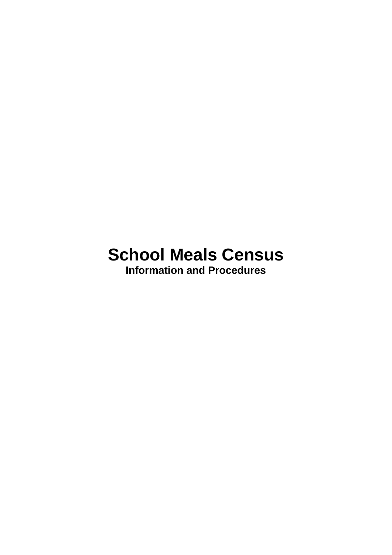# **School Meals Census**

**Information and Procedures**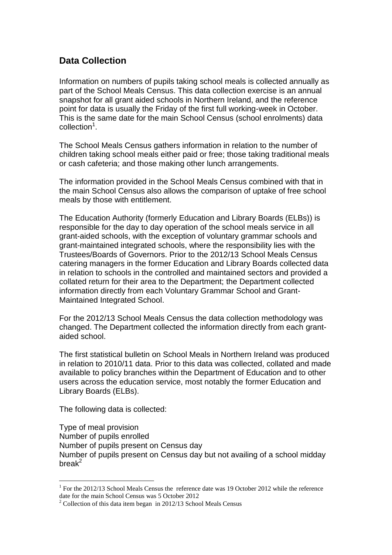# **Data Collection**

Information on numbers of pupils taking school meals is collected annually as part of the School Meals Census. This data collection exercise is an annual snapshot for all grant aided schools in Northern Ireland, and the reference point for data is usually the Friday of the first full working-week in October. This is the same date for the main School Census (school enrolments) data collection<sup>1</sup>.

The School Meals Census gathers information in relation to the number of children taking school meals either paid or free; those taking traditional meals or cash cafeteria; and those making other lunch arrangements.

The information provided in the School Meals Census combined with that in the main School Census also allows the comparison of uptake of free school meals by those with entitlement.

The Education Authority (formerly Education and Library Boards (ELBs)) is responsible for the day to day operation of the school meals service in all grant-aided schools, with the exception of voluntary grammar schools and grant-maintained integrated schools, where the responsibility lies with the Trustees/Boards of Governors. Prior to the 2012/13 School Meals Census catering managers in the former Education and Library Boards collected data in relation to schools in the controlled and maintained sectors and provided a collated return for their area to the Department; the Department collected information directly from each Voluntary Grammar School and Grant-Maintained Integrated School.

For the 2012/13 School Meals Census the data collection methodology was changed. The Department collected the information directly from each grantaided school.

The first statistical bulletin on School Meals in Northern Ireland was produced in relation to 2010/11 data. Prior to this data was collected, collated and made available to policy branches within the Department of Education and to other users across the education service, most notably the former Education and Library Boards (ELBs).

The following data is collected:

<u>.</u>

Type of meal provision Number of pupils enrolled Number of pupils present on Census day Number of pupils present on Census day but not availing of a school midday break $^2$ 

<sup>&</sup>lt;sup>1</sup> For the 2012/13 School Meals Census the reference date was 19 October 2012 while the reference date for the main School Census was 5 October 2012

 $2^2$  Collection of this data item began in 2012/13 School Meals Census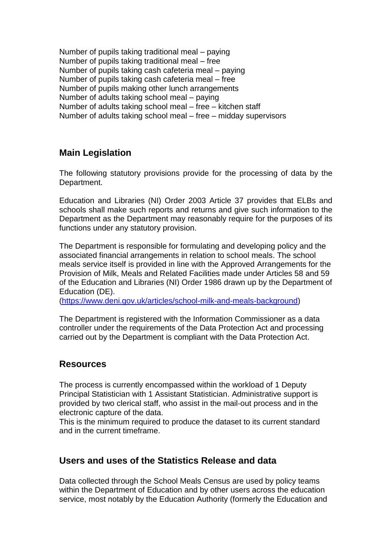Number of pupils taking traditional meal – paying Number of pupils taking traditional meal – free Number of pupils taking cash cafeteria meal – paying Number of pupils taking cash cafeteria meal – free Number of pupils making other lunch arrangements Number of adults taking school meal – paying Number of adults taking school meal – free – kitchen staff Number of adults taking school meal – free – midday supervisors

# **Main Legislation**

The following statutory provisions provide for the processing of data by the Department.

Education and Libraries (NI) Order 2003 Article 37 provides that ELBs and schools shall make such reports and returns and give such information to the Department as the Department may reasonably require for the purposes of its functions under any statutory provision.

The Department is responsible for formulating and developing policy and the associated financial arrangements in relation to school meals. The school meals service itself is provided in line with the Approved Arrangements for the Provision of Milk, Meals and Related Facilities made under Articles 58 and 59 of the Education and Libraries (NI) Order 1986 drawn up by the Department of Education (DE).

[\(https://www.deni.gov.uk/articles/school-milk-and-meals-background\)](https://www.deni.gov.uk/articles/school-milk-and-meals-background)

The Department is registered with the Information Commissioner as a data controller under the requirements of the Data Protection Act and processing carried out by the Department is compliant with the Data Protection Act.

#### **Resources**

The process is currently encompassed within the workload of 1 Deputy Principal Statistician with 1 Assistant Statistician. Administrative support is provided by two clerical staff, who assist in the mail‐out process and in the electronic capture of the data.

This is the minimum required to produce the dataset to its current standard and in the current timeframe.

#### **Users and uses of the Statistics Release and data**

Data collected through the School Meals Census are used by policy teams within the Department of Education and by other users across the education service, most notably by the Education Authority (formerly the Education and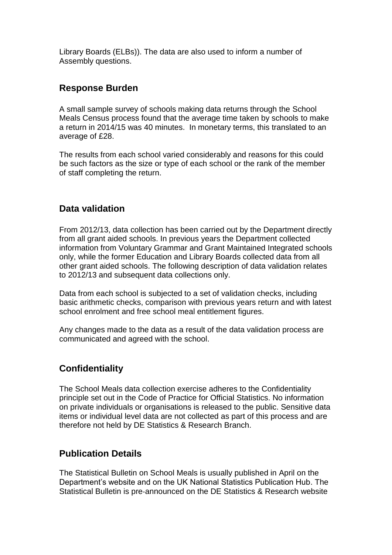Library Boards (ELBs)). The data are also used to inform a number of Assembly questions.

#### **Response Burden**

A small sample survey of schools making data returns through the School Meals Census process found that the average time taken by schools to make a return in 2014/15 was 40 minutes. In monetary terms, this translated to an average of £28.

The results from each school varied considerably and reasons for this could be such factors as the size or type of each school or the rank of the member of staff completing the return.

#### **Data validation**

From 2012/13, data collection has been carried out by the Department directly from all grant aided schools. In previous years the Department collected information from Voluntary Grammar and Grant Maintained Integrated schools only, while the former Education and Library Boards collected data from all other grant aided schools. The following description of data validation relates to 2012/13 and subsequent data collections only.

Data from each school is subjected to a set of validation checks, including basic arithmetic checks, comparison with previous years return and with latest school enrolment and free school meal entitlement figures.

Any changes made to the data as a result of the data validation process are communicated and agreed with the school.

# **Confidentiality**

The School Meals data collection exercise adheres to the Confidentiality principle set out in the Code of Practice for Official Statistics. No information on private individuals or organisations is released to the public. Sensitive data items or individual level data are not collected as part of this process and are therefore not held by DE Statistics & Research Branch.

# **Publication Details**

The Statistical Bulletin on School Meals is usually published in April on the Department's website and on the UK National Statistics Publication Hub. The Statistical Bulletin is pre‐announced on the DE Statistics & Research website